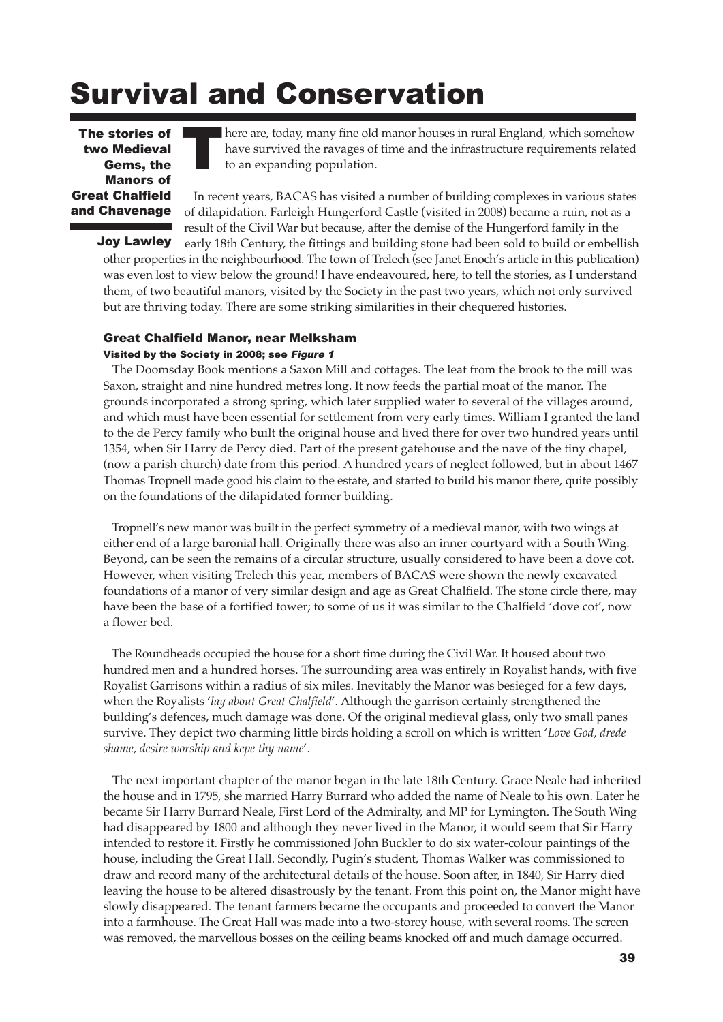# Survival and Conservation

The stories of two Medieval Gems, the Manors of Great Chalfield and Chavenage here are, today, many fine old manor houses in rural England, which somehow have survived the ravages of time and the infrastructure requirements related to an expanding population.

In recent years, BACAS has visited a number of building complexes in various states of dilapidation. Farleigh Hungerford Castle (visited in 2008) became a ruin, not as a result of the Civil War but because, after the demise of the Hungerford family in the

early 18th Century, the fittings and building stone had been sold to build or embellish other properties in the neighbourhood. The town of Trelech (see Janet Enoch's article in this publication) was even lost to view below the ground! I have endeavoured, here, to tell the stories, as I understand them, of two beautiful manors, visited by the Society in the past two years, which not only survived but are thriving today. There are some striking similarities in their chequered histories. Joy Lawley

#### Great Chalfield Manor, near Melksham

# Visited by the Society in 2008; see Figure 1

The Doomsday Book mentions a Saxon Mill and cottages. The leat from the brook to the mill was Saxon, straight and nine hundred metres long. It now feeds the partial moat of the manor. The grounds incorporated a strong spring, which later supplied water to several of the villages around, and which must have been essential for settlement from very early times. William I granted the land to the de Percy family who built the original house and lived there for over two hundred years until 1354, when Sir Harry de Percy died. Part of the present gatehouse and the nave of the tiny chapel, (now a parish church) date from this period. A hundred years of neglect followed, but in about 1467 Thomas Tropnell made good his claim to the estate, and started to build his manor there, quite possibly on the foundations of the dilapidated former building.

Tropnell's new manor was built in the perfect symmetry of a medieval manor, with two wings at either end of a large baronial hall. Originally there was also an inner courtyard with a South Wing. Beyond, can be seen the remains of a circular structure, usually considered to have been a dove cot. However, when visiting Trelech this year, members of BACAS were shown the newly excavated foundations of a manor of very similar design and age as Great Chalfield. The stone circle there, may have been the base of a fortified tower; to some of us it was similar to the Chalfield 'dove cot', now a flower bed.

The Roundheads occupied the house for a short time during the Civil War. It housed about two hundred men and a hundred horses. The surrounding area was entirely in Royalist hands, with five Royalist Garrisons within a radius of six miles. Inevitably the Manor was besieged for a few days, when the Royalists '*lay about Great Chalfield*'. Although the garrison certainly strengthened the building's defences, much damage was done. Of the original medieval glass, only two small panes survive. They depict two charming little birds holding a scroll on which is written '*Love God, drede shame, desire worship and kepe thy name*'.

The next important chapter of the manor began in the late 18th Century. Grace Neale had inherited the house and in 1795, she married Harry Burrard who added the name of Neale to his own. Later he became Sir Harry Burrard Neale, First Lord of the Admiralty, and MP for Lymington. The South Wing had disappeared by 1800 and although they never lived in the Manor, it would seem that Sir Harry intended to restore it. Firstly he commissioned John Buckler to do six water-colour paintings of the house, including the Great Hall. Secondly, Pugin's student, Thomas Walker was commissioned to draw and record many of the architectural details of the house. Soon after, in 1840, Sir Harry died leaving the house to be altered disastrously by the tenant. From this point on, the Manor might have slowly disappeared. The tenant farmers became the occupants and proceeded to convert the Manor into a farmhouse. The Great Hall was made into a two-storey house, with several rooms. The screen was removed, the marvellous bosses on the ceiling beams knocked off and much damage occurred.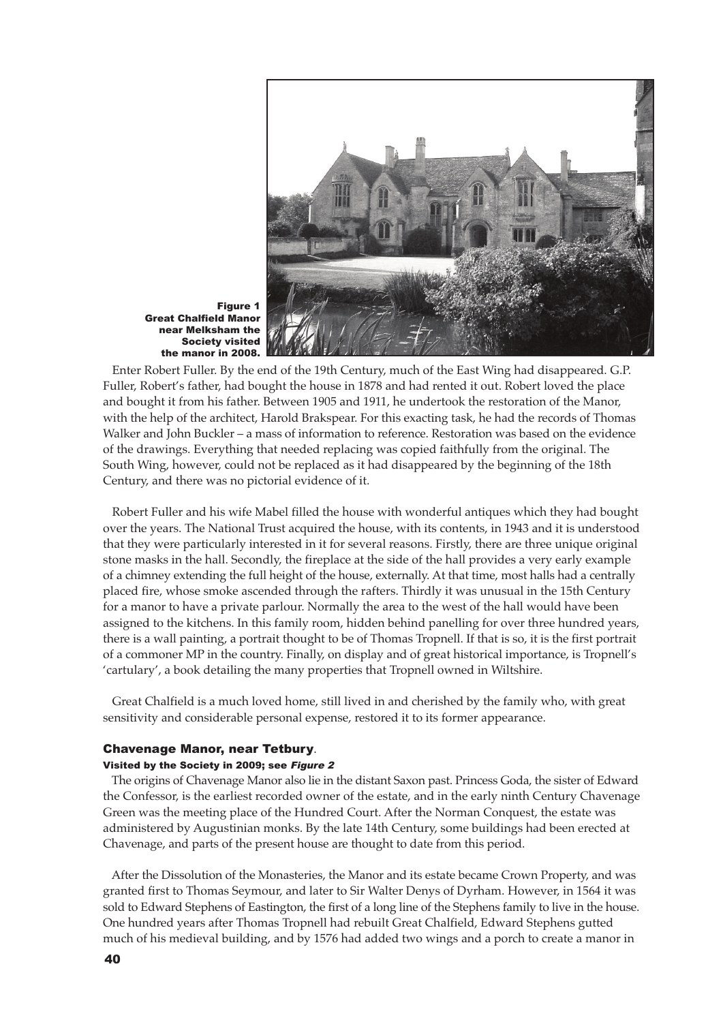

Figure 1 Great Chalfield Manor near Melksham the Society visited the manor in 2008.

Enter Robert Fuller. By the end of the 19th Century, much of the East Wing had disappeared. G.P. Fuller, Robert's father, had bought the house in 1878 and had rented it out. Robert loved the place and bought it from his father. Between 1905 and 1911, he undertook the restoration of the Manor, with the help of the architect, Harold Brakspear. For this exacting task, he had the records of Thomas Walker and John Buckler – a mass of information to reference. Restoration was based on the evidence of the drawings. Everything that needed replacing was copied faithfully from the original. The South Wing, however, could not be replaced as it had disappeared by the beginning of the 18th Century, and there was no pictorial evidence of it.

Robert Fuller and his wife Mabel filled the house with wonderful antiques which they had bought over the years. The National Trust acquired the house, with its contents, in 1943 and it is understood that they were particularly interested in it for several reasons. Firstly, there are three unique original stone masks in the hall. Secondly, the fireplace at the side of the hall provides a very early example of a chimney extending the full height of the house, externally. At that time, most halls had a centrally placed fire, whose smoke ascended through the rafters. Thirdly it was unusual in the 15th Century for a manor to have a private parlour. Normally the area to the west of the hall would have been assigned to the kitchens. In this family room, hidden behind panelling for over three hundred years, there is a wall painting, a portrait thought to be of Thomas Tropnell. If that is so, it is the first portrait of a commoner MP in the country. Finally, on display and of great historical importance, is Tropnell's 'cartulary', a book detailing the many properties that Tropnell owned in Wiltshire.

Great Chalfield is a much loved home, still lived in and cherished by the family who, with great sensitivity and considerable personal expense, restored it to its former appearance.

# Chavenage Manor, near Tetbury.

# Visited by the Society in 2009; see Figure 2

The origins of Chavenage Manor also lie in the distant Saxon past. Princess Goda, the sister of Edward the Confessor, is the earliest recorded owner of the estate, and in the early ninth Century Chavenage Green was the meeting place of the Hundred Court. After the Norman Conquest, the estate was administered by Augustinian monks. By the late 14th Century, some buildings had been erected at Chavenage, and parts of the present house are thought to date from this period.

After the Dissolution of the Monasteries, the Manor and its estate became Crown Property, and was granted first to Thomas Seymour, and later to Sir Walter Denys of Dyrham. However, in 1564 it was sold to Edward Stephens of Eastington, the first of a long line of the Stephens family to live in the house. One hundred years after Thomas Tropnell had rebuilt Great Chalfield, Edward Stephens gutted much of his medieval building, and by 1576 had added two wings and a porch to create a manor in